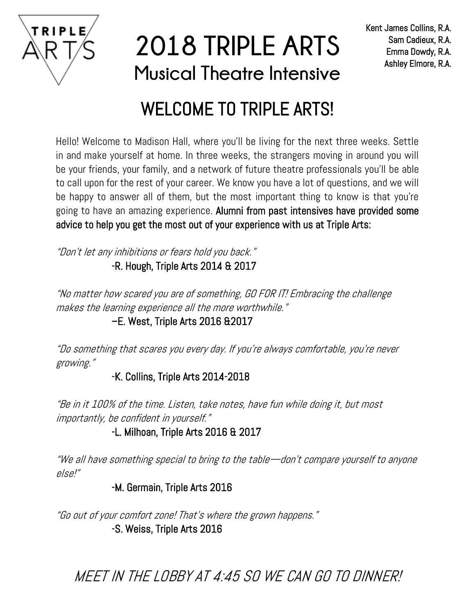

**2018 TRIPLE ARTS Musical Theatre Intensive**

### WELCOME TO TRIPLE ARTS!

Hello! Welcome to Madison Hall, where you'll be living for the next three weeks. Settle in and make yourself at home. In three weeks, the strangers moving in around you will be your friends, your family, and a network of future theatre professionals you'll be able to call upon for the rest of your career. We know you have a lot of questions, and we will be happy to answer all of them, but the most important thing to know is that you're going to have an amazing experience. Alumni from past intensives have provided some advice to help you get the most out of your experience with us at Triple Arts:

"Don't let any inhibitions or fears hold you back." -R. Hough, Triple Arts 2014 & 2017

"No matter how scared you are of something, GO FOR IT! Embracing the challenge makes the learning experience all the more worthwhile."

### –E. West, Triple Arts 2016 &2017

"Do something that scares you every day. If you're always comfortable, you're never growing."

### -K. Collins, Triple Arts 2014-2018

"Be in it 100% of the time. Listen, take notes, have fun while doing it, but most importantly, be confident in yourself."

-L. Milhoan, Triple Arts 2016 & 2017

"We all have something special to bring to the table—don't compare yourself to anyone else!"

-M. Germain, Triple Arts 2016

"Go out of your comfort zone! That's where the grown happens." -S. Weiss, Triple Arts 2016

MEET IN THE LOBBY AT 4:45 SO WE CAN GO TO DINNER!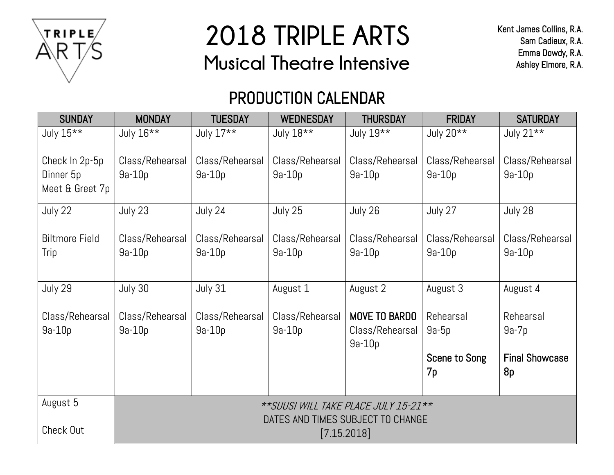

# **2018 TRIPLE ARTS Musical Theatre Intensive**

## PRODUCTION CALENDAR

| <b>SUNDAY</b>                                  | <b>MONDAY</b>                                    | <b>TUESDAY</b>              | <b>WEDNESDAY</b>            | <b>THURSDAY</b>                              | <b>FRIDAY</b>                                      | <b>SATURDAY</b>                                     |
|------------------------------------------------|--------------------------------------------------|-----------------------------|-----------------------------|----------------------------------------------|----------------------------------------------------|-----------------------------------------------------|
| July 15**                                      | July 16**                                        | July 17**                   | July 18**                   | July 19**                                    | July 20**                                          | July 21**                                           |
| Check In 2p-5p<br>Dinner 5p<br>Meet & Greet 7p | Class/Rehearsal<br>$9a-10p$                      | Class/Rehearsal<br>$9a-10p$ | Class/Rehearsal<br>$9a-10p$ | Class/Rehearsal<br>$9a-10p$                  | Class/Rehearsal<br>$9a-10p$                        | Class/Rehearsal<br>$9a-10p$                         |
| July 22                                        | July 23                                          | July 24                     | July 25                     | July 26                                      | July 27                                            | July 28                                             |
| <b>Biltmore Field</b><br>Trip                  | Class/Rehearsal<br>$9a-10p$                      | Class/Rehearsal<br>$9a-10p$ | Class/Rehearsal<br>$9a-10p$ | Class/Rehearsal<br>$9a-10p$                  | Class/Rehearsal<br>$9a-10p$                        | Class/Rehearsal<br>$9a-10p$                         |
| July 29                                        | July 30                                          | July 31                     | August 1                    | August 2                                     | August 3                                           | August 4                                            |
| Class/Rehearsal<br>$9a-10p$                    | Class/Rehearsal<br>$9a-10p$                      | Class/Rehearsal<br>$9a-10p$ | Class/Rehearsal<br>$9a-10p$ | MOVE TO BARDO<br>Class/Rehearsal<br>$9a-10p$ | Rehearsal<br>$9a-5p$<br><b>Scene to Song</b><br>7p | Rehearsal<br>$9a-7p$<br><b>Final Showcase</b><br>8p |
| August 5                                       | ** SUUSI WILL TAKE PLACE JULY 15-21**            |                             |                             |                                              |                                                    |                                                     |
| Check Out                                      | DATES AND TIMES SUBJECT TO CHANGE<br>[7.15.2018] |                             |                             |                                              |                                                    |                                                     |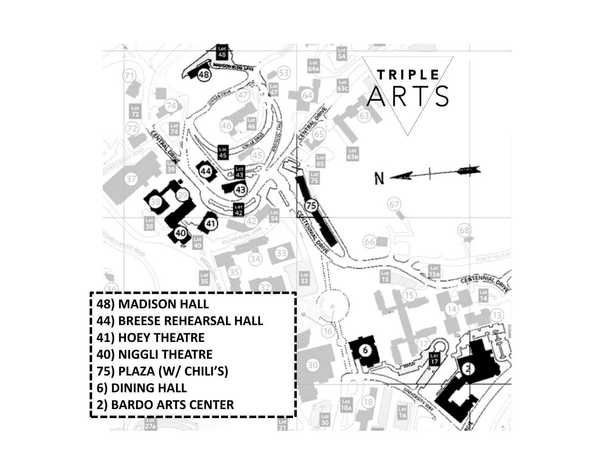